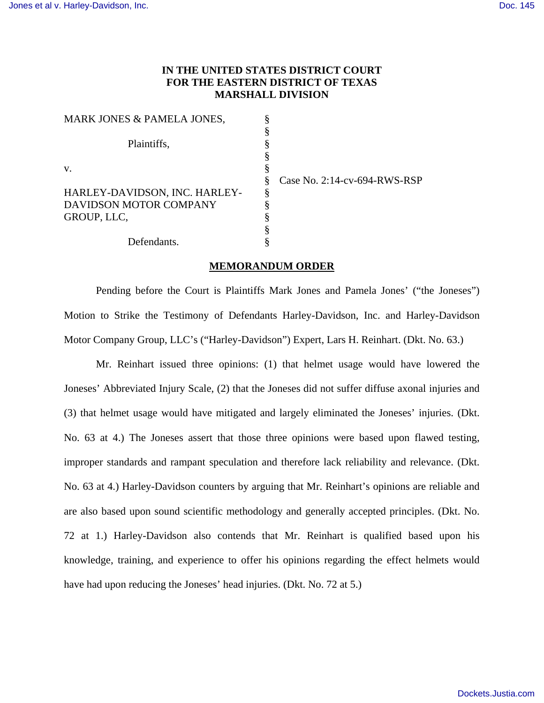# **IN THE UNITED STATES DISTRICT COURT FOR THE EASTERN DISTRICT OF TEXAS MARSHALL DIVISION**

| MARK JONES & PAMELA JONES,    | § |
|-------------------------------|---|
|                               | § |
| Plaintiffs,                   | § |
|                               | § |
| $V_{\cdot}$                   | § |
|                               | § |
| HARLEY-DAVIDSON, INC. HARLEY- | § |
| DAVIDSON MOTOR COMPANY        | § |
| GROUP, LLC,                   | § |
|                               | § |
| Defendants.                   |   |

Case No. 2:14-cv-694-RWS-RSP

#### **MEMORANDUM ORDER**

Pending before the Court is Plaintiffs Mark Jones and Pamela Jones' ("the Joneses") Motion to Strike the Testimony of Defendants Harley-Davidson, Inc. and Harley-Davidson Motor Company Group, LLC's ("Harley-Davidson") Expert, Lars H. Reinhart. (Dkt. No. 63.)

Mr. Reinhart issued three opinions: (1) that helmet usage would have lowered the Joneses' Abbreviated Injury Scale, (2) that the Joneses did not suffer diffuse axonal injuries and (3) that helmet usage would have mitigated and largely eliminated the Joneses' injuries. (Dkt. No. 63 at 4.) The Joneses assert that those three opinions were based upon flawed testing, improper standards and rampant speculation and therefore lack reliability and relevance. (Dkt. No. 63 at 4.) Harley-Davidson counters by arguing that Mr. Reinhart's opinions are reliable and are also based upon sound scientific methodology and generally accepted principles. (Dkt. No. 72 at 1.) Harley-Davidson also contends that Mr. Reinhart is qualified based upon his knowledge, training, and experience to offer his opinions regarding the effect helmets would have had upon reducing the Joneses' head injuries. (Dkt. No. 72 at 5.)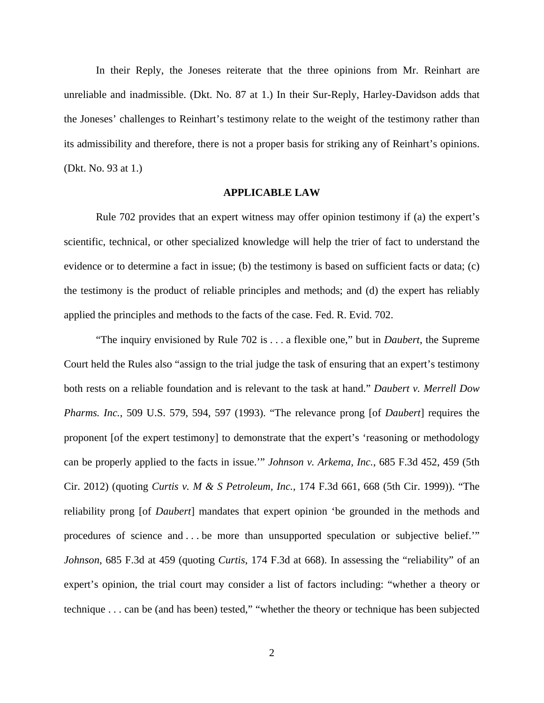In their Reply, the Joneses reiterate that the three opinions from Mr. Reinhart are unreliable and inadmissible. (Dkt. No. 87 at 1.) In their Sur-Reply, Harley-Davidson adds that the Joneses' challenges to Reinhart's testimony relate to the weight of the testimony rather than its admissibility and therefore, there is not a proper basis for striking any of Reinhart's opinions. (Dkt. No. 93 at 1.)

## **APPLICABLE LAW**

Rule 702 provides that an expert witness may offer opinion testimony if (a) the expert's scientific, technical, or other specialized knowledge will help the trier of fact to understand the evidence or to determine a fact in issue; (b) the testimony is based on sufficient facts or data; (c) the testimony is the product of reliable principles and methods; and (d) the expert has reliably applied the principles and methods to the facts of the case. Fed. R. Evid. 702.

"The inquiry envisioned by Rule 702 is . . . a flexible one," but in *Daubert*, the Supreme Court held the Rules also "assign to the trial judge the task of ensuring that an expert's testimony both rests on a reliable foundation and is relevant to the task at hand." *Daubert v. Merrell Dow Pharms. Inc.*, 509 U.S. 579, 594, 597 (1993). "The relevance prong [of *Daubert*] requires the proponent [of the expert testimony] to demonstrate that the expert's 'reasoning or methodology can be properly applied to the facts in issue.'" *Johnson v. Arkema, Inc.*, 685 F.3d 452, 459 (5th Cir. 2012) (quoting *Curtis v. M & S Petroleum, Inc.*, 174 F.3d 661, 668 (5th Cir. 1999)). "The reliability prong [of *Daubert*] mandates that expert opinion 'be grounded in the methods and procedures of science and . . . be more than unsupported speculation or subjective belief.'" *Johnson*, 685 F.3d at 459 (quoting *Curtis*, 174 F.3d at 668). In assessing the "reliability" of an expert's opinion, the trial court may consider a list of factors including: "whether a theory or technique . . . can be (and has been) tested," "whether the theory or technique has been subjected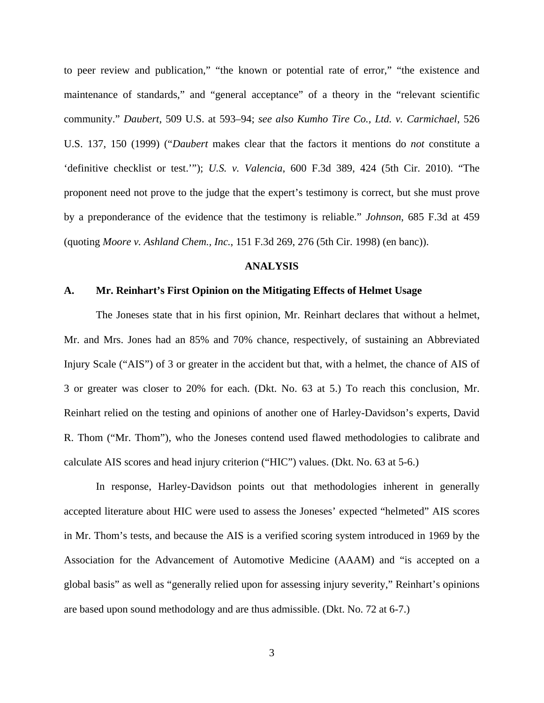to peer review and publication," "the known or potential rate of error," "the existence and maintenance of standards," and "general acceptance" of a theory in the "relevant scientific community." *Daubert*, 509 U.S. at 593–94; *see also Kumho Tire Co., Ltd. v. Carmichael*, 526 U.S. 137, 150 (1999) ("*Daubert* makes clear that the factors it mentions do *not* constitute a 'definitive checklist or test.'"); *U.S. v. Valencia*, 600 F.3d 389, 424 (5th Cir. 2010). "The proponent need not prove to the judge that the expert's testimony is correct, but she must prove by a preponderance of the evidence that the testimony is reliable." *Johnson*, 685 F.3d at 459 (quoting *Moore v. Ashland Chem., Inc.*, 151 F.3d 269, 276 (5th Cir. 1998) (en banc)).

## **ANALYSIS**

### **A. Mr. Reinhart's First Opinion on the Mitigating Effects of Helmet Usage**

The Joneses state that in his first opinion, Mr. Reinhart declares that without a helmet, Mr. and Mrs. Jones had an 85% and 70% chance, respectively, of sustaining an Abbreviated Injury Scale ("AIS") of 3 or greater in the accident but that, with a helmet, the chance of AIS of 3 or greater was closer to 20% for each. (Dkt. No. 63 at 5.) To reach this conclusion, Mr. Reinhart relied on the testing and opinions of another one of Harley-Davidson's experts, David R. Thom ("Mr. Thom"), who the Joneses contend used flawed methodologies to calibrate and calculate AIS scores and head injury criterion ("HIC") values. (Dkt. No. 63 at 5-6.)

In response, Harley-Davidson points out that methodologies inherent in generally accepted literature about HIC were used to assess the Joneses' expected "helmeted" AIS scores in Mr. Thom's tests, and because the AIS is a verified scoring system introduced in 1969 by the Association for the Advancement of Automotive Medicine (AAAM) and "is accepted on a global basis" as well as "generally relied upon for assessing injury severity," Reinhart's opinions are based upon sound methodology and are thus admissible. (Dkt. No. 72 at 6-7.)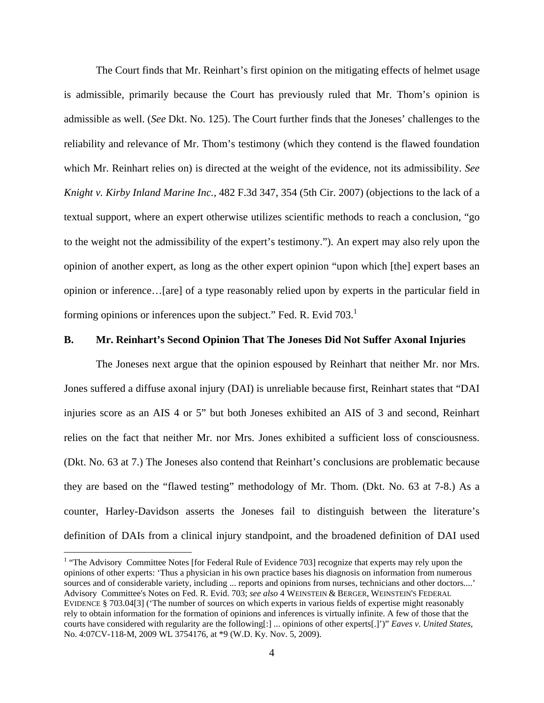The Court finds that Mr. Reinhart's first opinion on the mitigating effects of helmet usage is admissible, primarily because the Court has previously ruled that Mr. Thom's opinion is admissible as well. (*See* Dkt. No. 125). The Court further finds that the Joneses' challenges to the reliability and relevance of Mr. Thom's testimony (which they contend is the flawed foundation which Mr. Reinhart relies on) is directed at the weight of the evidence, not its admissibility. *See Knight v. Kirby Inland Marine Inc.,* 482 F.3d 347, 354 (5th Cir. 2007) (objections to the lack of a textual support, where an expert otherwise utilizes scientific methods to reach a conclusion, "go to the weight not the admissibility of the expert's testimony."). An expert may also rely upon the opinion of another expert, as long as the other expert opinion "upon which [the] expert bases an opinion or inference…[are] of a type reasonably relied upon by experts in the particular field in forming opinions or inferences upon the subject." Fed. R. Evid 703.

## **B. Mr. Reinhart's Second Opinion That The Joneses Did Not Suffer Axonal Injuries**

The Joneses next argue that the opinion espoused by Reinhart that neither Mr. nor Mrs. Jones suffered a diffuse axonal injury (DAI) is unreliable because first, Reinhart states that "DAI injuries score as an AIS 4 or 5" but both Joneses exhibited an AIS of 3 and second, Reinhart relies on the fact that neither Mr. nor Mrs. Jones exhibited a sufficient loss of consciousness. (Dkt. No. 63 at 7.) The Joneses also contend that Reinhart's conclusions are problematic because they are based on the "flawed testing" methodology of Mr. Thom. (Dkt. No. 63 at 7-8.) As a counter, Harley-Davidson asserts the Joneses fail to distinguish between the literature's definition of DAIs from a clinical injury standpoint, and the broadened definition of DAI used

 $\overline{a}$ 

<sup>&</sup>lt;sup>1</sup> "The Advisory Committee Notes [for Federal Rule of Evidence 703] recognize that experts may rely upon the opinions of other experts: 'Thus a physician in his own practice bases his diagnosis on information from numerous sources and of considerable variety, including ... reports and opinions from nurses, technicians and other doctors....' Advisory Committee's Notes on Fed. R. Evid. 703; *see also* 4 WEINSTEIN & BERGER, WEINSTEIN'S FEDERAL EVIDENCE § 703.04[3] ('The number of sources on which experts in various fields of expertise might reasonably rely to obtain information for the formation of opinions and inferences is virtually infinite. A few of those that the courts have considered with regularity are the following[:] ... opinions of other experts[.]')" *Eaves v. United States*, No. 4:07CV-118-M, 2009 WL 3754176, at \*9 (W.D. Ky. Nov. 5, 2009).